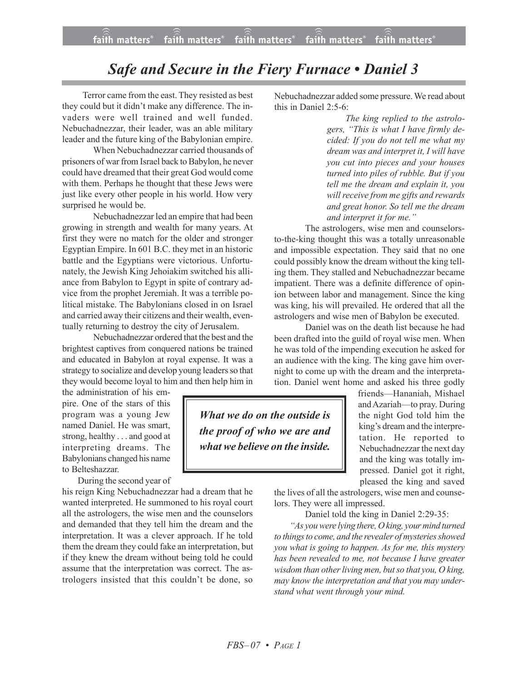## faith matters® faith matters<sup>®</sup> faith matters<sup>®</sup> faith matters® faith matters<sup>®</sup>

## *Safe and Secure in the Fiery Furnace • Daniel 3*

 Terror came from the east.They resisted as best they could but it didn't make any difference. The invaders were well trained and well funded. Nebuchadnezzar, their leader, was an able military leader and the future king of the Babylonian empire.

When Nebuchadnezzar carried thousands of prisoners of war from Israel back to Babylon, he never could have dreamed that their great God would come with them. Perhaps he thought that these Jews were just like every other people in his world. How very surprised he would be.

Nebuchadnezzar led an empire that had been growing in strength and wealth for many years. At first they were no match for the older and stronger Egyptian Empire. In 601 B.C. they met in an historic battle and the Egyptians were victorious. Unfortunately, the Jewish King Jehoiakim switched his alliance from Babylon to Egypt in spite of contrary advice from the prophet Jeremiah. It was a terrible political mistake. The Babylonians closed in on Israel and carried away their citizens and their wealth, eventually returning to destroy the city of Jerusalem.

Nebuchadnezzar ordered that the best and the brightest captives from conquered nations be trained and educated in Babylon at royal expense. It was a strategy to socialize and develop young leaders so that they would become loyal to him and then help him in

the administration of his empire. One of the stars of this program was a young Jew named Daniel. He was smart, strong, healthy . . . and good at interpreting dreams. The Babylonians changed his name to Belteshazzar.

During the second year of

his reign King Nebuchadnezzar had a dream that he wanted interpreted. He summoned to his royal court all the astrologers, the wise men and the counselors and demanded that they tell him the dream and the interpretation. It was a clever approach. If he told them the dream they could fake an interpretation, but if they knew the dream without being told he could assume that the interpretation was correct. The astrologers insisted that this couldn't be done, so

Nebuchadnezzar added some pressure. We read about this in Daniel 2:5-6:

> *The king replied to the astrologers, "This is what I have firmly decided: If you do not tell me what my dream was and interpret it, I will have you cut into pieces and your houses turned into piles of rubble. But if you tell me the dream and explain it, you will receive from me gifts and rewards and great honor. So tell me the dream and interpret it for me."*

The astrologers, wise men and counselorsto-the-king thought this was a totally unreasonable and impossible expectation. They said that no one could possibly know the dream without the king telling them. They stalled and Nebuchadnezzar became impatient. There was a definite difference of opinion between labor and management. Since the king was king, his will prevailed. He ordered that all the astrologers and wise men of Babylon be executed.

Daniel was on the death list because he had been drafted into the guild of royal wise men. When he was told of the impending execution he asked for an audience with the king. The king gave him overnight to come up with the dream and the interpretation. Daniel went home and asked his three godly

*What we do on the outside is the proof of who we are and what we believe on the inside.*

friends—Hananiah, Mishael andAzariah—to pray. During the night God told him the king's dream and the interpretation. He reported to Nebuchadnezzar the next day and the king was totally impressed. Daniel got it right, pleased the king and saved

the lives of all the astrologers, wise men and counselors. They were all impressed.

Daniel told the king in Daniel 2:29-35:

*"As you were lying there, O king, your mind turned to things to come, and the revealer of mysteries showed you what is going to happen. As for me, this mystery has been revealed to me, not because I have greater wisdom than other living men, but so that you, O king, may know the interpretation and that you may understand what went through your mind.*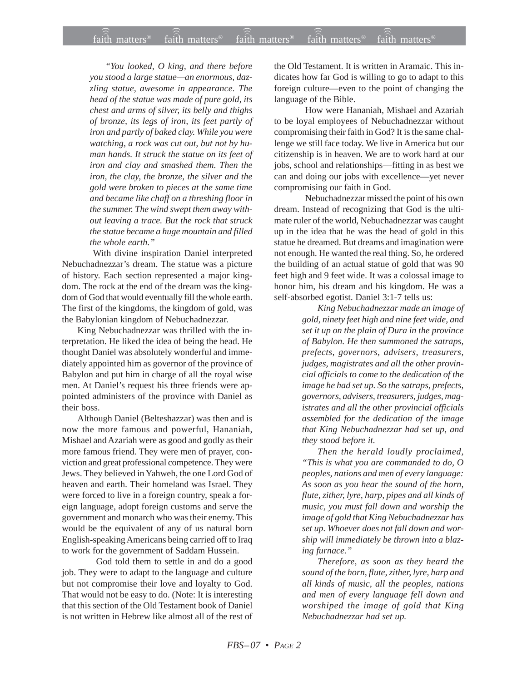*"You looked, O king, and there before you stood a large statue—an enormous, dazzling statue, awesome in appearance. The head of the statue was made of pure gold, its chest and arms of silver, its belly and thighs of bronze, its legs of iron, its feet partly of iron and partly of baked clay. While you were watching, a rock was cut out, but not by human hands. It struck the statue on its feet of iron and clay and smashed them. Then the iron, the clay, the bronze, the silver and the gold were broken to pieces at the same time and became like chaff on a threshing floor in the summer. The wind swept them away without leaving a trace. But the rock that struck the statue became a huge mountain and filled the whole earth."*

With divine inspiration Daniel interpreted Nebuchadnezzar's dream. The statue was a picture of history. Each section represented a major kingdom. The rock at the end of the dream was the kingdom of God that would eventually fill the whole earth. The first of the kingdoms, the kingdom of gold, was the Babylonian kingdom of Nebuchadnezzar.

King Nebuchadnezzar was thrilled with the interpretation. He liked the idea of being the head. He thought Daniel was absolutely wonderful and immediately appointed him as governor of the province of Babylon and put him in charge of all the royal wise men. At Daniel's request his three friends were appointed administers of the province with Daniel as their boss.

Although Daniel (Belteshazzar) was then and is now the more famous and powerful, Hananiah, Mishael and Azariah were as good and godly as their more famous friend. They were men of prayer, conviction and great professional competence. They were Jews. They believed in Yahweh, the one Lord God of heaven and earth. Their homeland was Israel. They were forced to live in a foreign country, speak a foreign language, adopt foreign customs and serve the government and monarch who was their enemy. This would be the equivalent of any of us natural born English-speaking Americans being carried off to Iraq to work for the government of Saddam Hussein.

 God told them to settle in and do a good job. They were to adapt to the language and culture but not compromise their love and loyalty to God. That would not be easy to do. (Note: It is interesting that this section of the Old Testament book of Daniel is not written in Hebrew like almost all of the rest of the Old Testament. It is written in Aramaic. This indicates how far God is willing to go to adapt to this foreign culture—even to the point of changing the language of the Bible.

How were Hananiah, Mishael and Azariah to be loyal employees of Nebuchadnezzar without compromising their faith in God? It is the same challenge we still face today. We live in America but our citizenship is in heaven. We are to work hard at our jobs, school and relationships—fitting in as best we can and doing our jobs with excellence—yet never compromising our faith in God.

Nebuchadnezzar missed the point of his own dream. Instead of recognizing that God is the ultimate ruler of the world, Nebuchadnezzar was caught up in the idea that he was the head of gold in this statue he dreamed. But dreams and imagination were not enough. He wanted the real thing. So, he ordered the building of an actual statue of gold that was 90 feet high and 9 feet wide. It was a colossal image to honor him, his dream and his kingdom. He was a self-absorbed egotist. Daniel 3:1-7 tells us:

> *King Nebuchadnezzar made an image of gold, ninety feet high and nine feet wide, and set it up on the plain of Dura in the province of Babylon. He then summoned the satraps, prefects, governors, advisers, treasurers, judges, magistrates and all the other provincial officials to come to the dedication of the image he had set up. So the satraps, prefects, governors, advisers, treasurers, judges, magistrates and all the other provincial officials assembled for the dedication of the image that King Nebuchadnezzar had set up, and they stood before it.*

> *Then the herald loudly proclaimed, "This is what you are commanded to do, O peoples, nations and men of every language: As soon as you hear the sound of the horn, flute, zither, lyre, harp, pipes and all kinds of music, you must fall down and worship the image of gold that King Nebuchadnezzar has set up. Whoever does not fall down and worship will immediately be thrown into a blazing furnace."*

> *Therefore, as soon as they heard the sound of the horn, flute, zither, lyre, harp and all kinds of music, all the peoples, nations and men of every language fell down and worshiped the image of gold that King Nebuchadnezzar had set up.*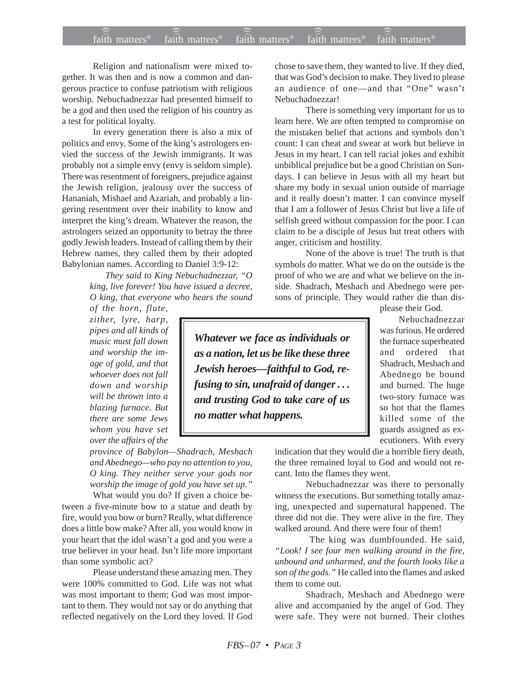Religion and nationalism were mixed together. It was then and is now a common and dangerous practice to confuse patriotism with religious worship. Nebuchadnezzar had presented himself to be a god and then used the religion of his country as a test for political loyalty.

In every generation there is also a mix of politics and envy. Some of the king's astrologers envied the success of the Jewish immigrants. It was probably not a simple envy (envy is seldom simple). There was resentment of foreigners, prejudice against the Jewish religion, jealousy over the success of Hananiah, Mishael and Azariah, and probably a lingering resentment over their inability to know and interpret the king's dream. Whatever the reason, the astrologers seized an opportunity to betray the three godly Jewish leaders. Instead of calling them by their Hebrew names, they called them by their adopted Babylonian names. According to Daniel 3:9-12:

> *They said to King Nebuchadnezzar, "O king, live forever! You have issued a decree, O king, that everyone who hears the sound*

*of the horn, flute, zither, lyre, harp, pipes and all kinds of music must fall down and worship the image of gold, and that whoever does not fall down and worship will be thrown into a blazing furnace. But there are some Jews whom you have set over the affairs of the*

*province of Babylon—Shadrach, Meshach and Abednego—who pay no attention to you, O king. They neither serve your gods nor worship the image of gold you have set up."*

What would you do? If given a choice between a five-minute bow to a statue and death by fire, would you bow or burn? Really, what difference does a little bow make? After all, you would know in your heart that the idol wasn't a god and you were a true believer in your head. Isn't life more important than some symbolic act?

Please understand these amazing men. They were 100% committed to God. Life was not what was most important to them; God was most important to them. They would not say or do anything that reflected negatively on the Lord they loved. If God

chose to save them, they wanted to live. If they died, that was God's decision to make. They lived to please an audience of one—and that "One" wasn't Nebuchadnezzar!

There is something very important for us to learn here. We are often tempted to compromise on the mistaken belief that actions and symbols don't count: I can cheat and swear at work but believe in Jesus in my heart. I can tell racial jokes and exhibit unbiblical prejudice but be a good Christian on Sundays. I can believe in Jesus with all my heart but share my body in sexual union outside of marriage and it really doesn't matter. I can convince myself that I am a follower of Jesus Christ but live a life of selfish greed without compassion for the poor. I can claim to be a disciple of Jesus but treat others with anger, criticism and hostility.

None of the above is true! The truth is that symbols do matter. What we do on the outside is the proof of who we are and what we believe on the inside. Shadrach, Meshach and Abednego were persons of principle. They would rather die than dis-

please their God.

Nebuchadnezzar was furious. He ordered the furnace superheated and ordered that Shadrach, Meshach and Abednego be bound and burned. The huge two-story furnace was so hot that the flames killed some of the guards assigned as ex-

*Whatever we face as individuals or as a nation, let us be like these three Jewish heroes—faithful to God, refusing to sin, unafraid of danger . . . and trusting God to take care of us no matter what happens.*

> ecutioners. With every indication that they would die a horrible fiery death, the three remained loyal to God and would not recant. Into the flames they went.

> Nebuchadnezzar was there to personally witness the executions. But something totally amazing, unexpected and supernatural happened. The three did not die. They were alive in the fire. They walked around. And there were four of them!

> The king was dumbfounded. He said, *"Look! I see four men walking around in the fire, unbound and unharmed, and the fourth looks like a son of the gods."* He called into the flames and asked them to come out.

> Shadrach, Meshach and Abednego were alive and accompanied by the angel of God. They were safe. They were not burned. Their clothes